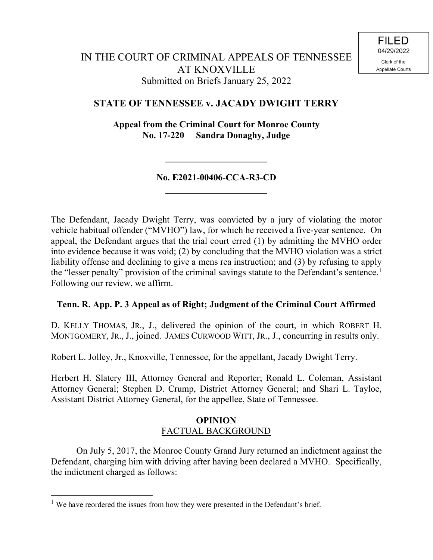# **STATE OF TENNESSEE v. JACADY DWIGHT TERRY**

**Appeal from the Criminal Court for Monroe County No. 17-220 Sandra Donaghy, Judge**

# **No. E2021-00406-CCA-R3-CD**

The Defendant, Jacady Dwight Terry, was convicted by a jury of violating the motor vehicle habitual offender ("MVHO") law, for which he received a five-year sentence. On appeal, the Defendant argues that the trial court erred (1) by admitting the MVHO order into evidence because it was void; (2) by concluding that the MVHO violation was a strict liability offense and declining to give a mens rea instruction; and (3) by refusing to apply the "lesser penalty" provision of the criminal savings statute to the Defendant's sentence.<sup>1</sup> Following our review, we affirm.

# **Tenn. R. App. P. 3 Appeal as of Right; Judgment of the Criminal Court Affirmed**

D. KELLY THOMAS, JR., J., delivered the opinion of the court, in which ROBERT H. MONTGOMERY, JR., J., joined. JAMES CURWOOD WITT, JR., J., concurring in results only.

Robert L. Jolley, Jr., Knoxville, Tennessee, for the appellant, Jacady Dwight Terry.

Herbert H. Slatery III, Attorney General and Reporter; Ronald L. Coleman, Assistant Attorney General; Stephen D. Crump, District Attorney General; and Shari L. Tayloe, Assistant District Attorney General, for the appellee, State of Tennessee.

## **OPINION** FACTUAL BACKGROUND

On July 5, 2017, the Monroe County Grand Jury returned an indictment against the Defendant, charging him with driving after having been declared a MVHO. Specifically, the indictment charged as follows:

 $\overline{a}$ 

 $<sup>1</sup>$  We have reordered the issues from how they were presented in the Defendant's brief.</sup>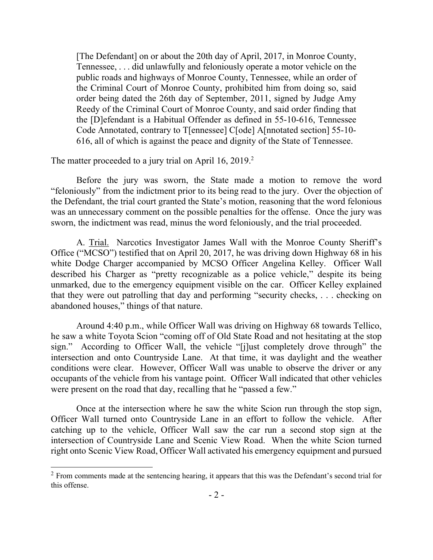[The Defendant] on or about the 20th day of April, 2017, in Monroe County, Tennessee, . . . did unlawfully and feloniously operate a motor vehicle on the public roads and highways of Monroe County, Tennessee, while an order of the Criminal Court of Monroe County, prohibited him from doing so, said order being dated the 26th day of September, 2011, signed by Judge Amy Reedy of the Criminal Court of Monroe County, and said order finding that the [D]efendant is a Habitual Offender as defined in 55-10-616, Tennessee Code Annotated, contrary to T[ennessee] C[ode] A[nnotated section] 55-10- 616, all of which is against the peace and dignity of the State of Tennessee.

The matter proceeded to a jury trial on April 16, 2019.<sup>2</sup>

l

Before the jury was sworn, the State made a motion to remove the word "feloniously" from the indictment prior to its being read to the jury. Over the objection of the Defendant, the trial court granted the State's motion, reasoning that the word felonious was an unnecessary comment on the possible penalties for the offense. Once the jury was sworn, the indictment was read, minus the word feloniously, and the trial proceeded.

A. Trial. Narcotics Investigator James Wall with the Monroe County Sheriff's Office ("MCSO") testified that on April 20, 2017, he was driving down Highway 68 in his white Dodge Charger accompanied by MCSO Officer Angelina Kelley. Officer Wall described his Charger as "pretty recognizable as a police vehicle," despite its being unmarked, due to the emergency equipment visible on the car. Officer Kelley explained that they were out patrolling that day and performing "security checks, . . . checking on abandoned houses," things of that nature.

Around 4:40 p.m., while Officer Wall was driving on Highway 68 towards Tellico, he saw a white Toyota Scion "coming off of Old State Road and not hesitating at the stop sign." According to Officer Wall, the vehicle "[j]ust completely drove through" the intersection and onto Countryside Lane. At that time, it was daylight and the weather conditions were clear. However, Officer Wall was unable to observe the driver or any occupants of the vehicle from his vantage point. Officer Wall indicated that other vehicles were present on the road that day, recalling that he "passed a few."

Once at the intersection where he saw the white Scion run through the stop sign, Officer Wall turned onto Countryside Lane in an effort to follow the vehicle. After catching up to the vehicle, Officer Wall saw the car run a second stop sign at the intersection of Countryside Lane and Scenic View Road. When the white Scion turned right onto Scenic View Road, Officer Wall activated his emergency equipment and pursued

 $2 \text{ From comments made at the sentence hearing.}$  it appears that this was the Defendant's second trial for this offense.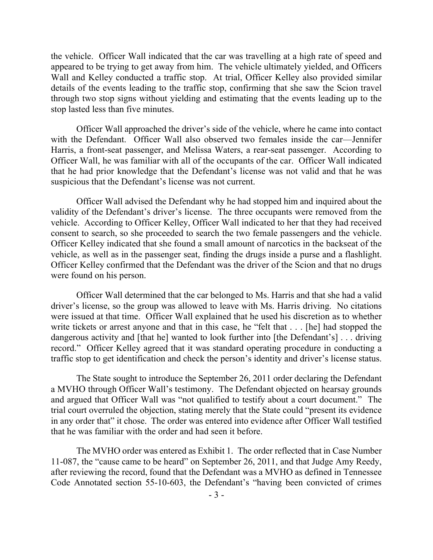the vehicle. Officer Wall indicated that the car was travelling at a high rate of speed and appeared to be trying to get away from him. The vehicle ultimately yielded, and Officers Wall and Kelley conducted a traffic stop. At trial, Officer Kelley also provided similar details of the events leading to the traffic stop, confirming that she saw the Scion travel through two stop signs without yielding and estimating that the events leading up to the stop lasted less than five minutes.

Officer Wall approached the driver's side of the vehicle, where he came into contact with the Defendant. Officer Wall also observed two females inside the car—Jennifer Harris, a front-seat passenger, and Melissa Waters, a rear-seat passenger. According to Officer Wall, he was familiar with all of the occupants of the car. Officer Wall indicated that he had prior knowledge that the Defendant's license was not valid and that he was suspicious that the Defendant's license was not current.

Officer Wall advised the Defendant why he had stopped him and inquired about the validity of the Defendant's driver's license. The three occupants were removed from the vehicle. According to Officer Kelley, Officer Wall indicated to her that they had received consent to search, so she proceeded to search the two female passengers and the vehicle. Officer Kelley indicated that she found a small amount of narcotics in the backseat of the vehicle, as well as in the passenger seat, finding the drugs inside a purse and a flashlight. Officer Kelley confirmed that the Defendant was the driver of the Scion and that no drugs were found on his person.

Officer Wall determined that the car belonged to Ms. Harris and that she had a valid driver's license, so the group was allowed to leave with Ms. Harris driving. No citations were issued at that time. Officer Wall explained that he used his discretion as to whether write tickets or arrest anyone and that in this case, he "felt that . . . [he] had stopped the dangerous activity and [that he] wanted to look further into [the Defendant's] . . . driving record." Officer Kelley agreed that it was standard operating procedure in conducting a traffic stop to get identification and check the person's identity and driver's license status.

The State sought to introduce the September 26, 2011 order declaring the Defendant a MVHO through Officer Wall's testimony. The Defendant objected on hearsay grounds and argued that Officer Wall was "not qualified to testify about a court document." The trial court overruled the objection, stating merely that the State could "present its evidence in any order that" it chose. The order was entered into evidence after Officer Wall testified that he was familiar with the order and had seen it before.

The MVHO order was entered as Exhibit 1. The order reflected that in Case Number 11-087, the "cause came to be heard" on September 26, 2011, and that Judge Amy Reedy, after reviewing the record, found that the Defendant was a MVHO as defined in Tennessee Code Annotated section 55-10-603, the Defendant's "having been convicted of crimes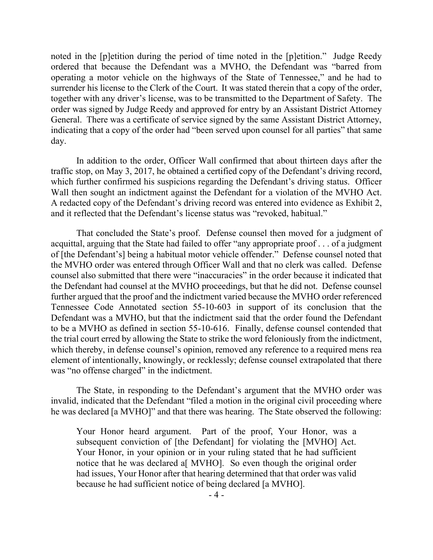noted in the [p]etition during the period of time noted in the [p]etition." Judge Reedy ordered that because the Defendant was a MVHO, the Defendant was "barred from operating a motor vehicle on the highways of the State of Tennessee," and he had to surrender his license to the Clerk of the Court. It was stated therein that a copy of the order, together with any driver's license, was to be transmitted to the Department of Safety. The order was signed by Judge Reedy and approved for entry by an Assistant District Attorney General. There was a certificate of service signed by the same Assistant District Attorney, indicating that a copy of the order had "been served upon counsel for all parties" that same day.

In addition to the order, Officer Wall confirmed that about thirteen days after the traffic stop, on May 3, 2017, he obtained a certified copy of the Defendant's driving record, which further confirmed his suspicions regarding the Defendant's driving status. Officer Wall then sought an indictment against the Defendant for a violation of the MVHO Act. A redacted copy of the Defendant's driving record was entered into evidence as Exhibit 2, and it reflected that the Defendant's license status was "revoked, habitual."

That concluded the State's proof. Defense counsel then moved for a judgment of acquittal, arguing that the State had failed to offer "any appropriate proof . . . of a judgment of [the Defendant's] being a habitual motor vehicle offender." Defense counsel noted that the MVHO order was entered through Officer Wall and that no clerk was called. Defense counsel also submitted that there were "inaccuracies" in the order because it indicated that the Defendant had counsel at the MVHO proceedings, but that he did not. Defense counsel further argued that the proof and the indictment varied because the MVHO order referenced Tennessee Code Annotated section 55-10-603 in support of its conclusion that the Defendant was a MVHO, but that the indictment said that the order found the Defendant to be a MVHO as defined in section 55-10-616. Finally, defense counsel contended that the trial court erred by allowing the State to strike the word feloniously from the indictment, which thereby, in defense counsel's opinion, removed any reference to a required mens rea element of intentionally, knowingly, or recklessly; defense counsel extrapolated that there was "no offense charged" in the indictment.

The State, in responding to the Defendant's argument that the MVHO order was invalid, indicated that the Defendant "filed a motion in the original civil proceeding where he was declared [a MVHO]" and that there was hearing. The State observed the following:

Your Honor heard argument. Part of the proof, Your Honor, was a subsequent conviction of [the Defendant] for violating the [MVHO] Act. Your Honor, in your opinion or in your ruling stated that he had sufficient notice that he was declared a[ MVHO]. So even though the original order had issues, Your Honor after that hearing determined that that order was valid because he had sufficient notice of being declared [a MVHO].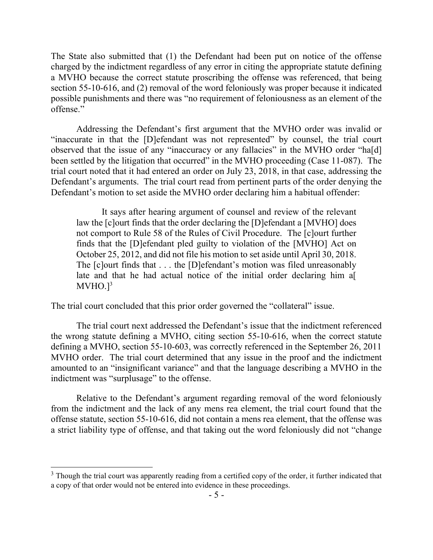The State also submitted that (1) the Defendant had been put on notice of the offense charged by the indictment regardless of any error in citing the appropriate statute defining a MVHO because the correct statute proscribing the offense was referenced, that being section 55-10-616, and (2) removal of the word feloniously was proper because it indicated possible punishments and there was "no requirement of feloniousness as an element of the offense."

Addressing the Defendant's first argument that the MVHO order was invalid or "inaccurate in that the [D]efendant was not represented" by counsel, the trial court observed that the issue of any "inaccuracy or any fallacies" in the MVHO order "ha[d] been settled by the litigation that occurred" in the MVHO proceeding (Case 11-087). The trial court noted that it had entered an order on July 23, 2018, in that case, addressing the Defendant's arguments. The trial court read from pertinent parts of the order denying the Defendant's motion to set aside the MVHO order declaring him a habitual offender:

It says after hearing argument of counsel and review of the relevant law the [c]ourt finds that the order declaring the [D]efendant a [MVHO] does not comport to Rule 58 of the Rules of Civil Procedure. The [c]ourt further finds that the [D]efendant pled guilty to violation of the [MVHO] Act on October 25, 2012, and did not file his motion to set aside until April 30, 2018. The [c]ourt finds that . . . the [D]efendant's motion was filed unreasonably late and that he had actual notice of the initial order declaring him a  $MVHO.]<sup>3</sup>$ 

The trial court concluded that this prior order governed the "collateral" issue.

The trial court next addressed the Defendant's issue that the indictment referenced the wrong statute defining a MVHO, citing section 55-10-616, when the correct statute defining a MVHO, section 55-10-603, was correctly referenced in the September 26, 2011 MVHO order. The trial court determined that any issue in the proof and the indictment amounted to an "insignificant variance" and that the language describing a MVHO in the indictment was "surplusage" to the offense.

Relative to the Defendant's argument regarding removal of the word feloniously from the indictment and the lack of any mens rea element, the trial court found that the offense statute, section 55-10-616, did not contain a mens rea element, that the offense was a strict liability type of offense, and that taking out the word feloniously did not "change

<sup>&</sup>lt;sup>3</sup> Though the trial court was apparently reading from a certified copy of the order, it further indicated that a copy of that order would not be entered into evidence in these proceedings.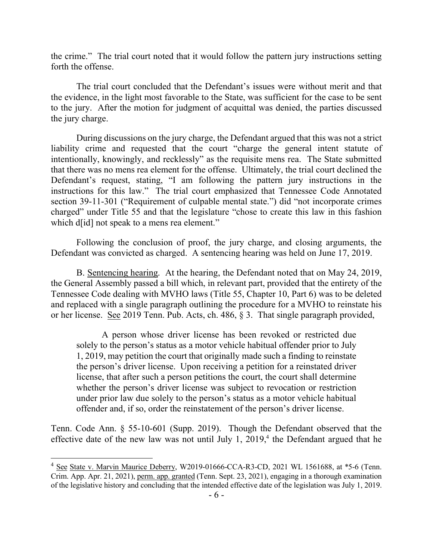the crime." The trial court noted that it would follow the pattern jury instructions setting forth the offense.

The trial court concluded that the Defendant's issues were without merit and that the evidence, in the light most favorable to the State, was sufficient for the case to be sent to the jury. After the motion for judgment of acquittal was denied, the parties discussed the jury charge.

 During discussions on the jury charge, the Defendant argued that this was not a strict liability crime and requested that the court "charge the general intent statute of intentionally, knowingly, and recklessly" as the requisite mens rea. The State submitted that there was no mens rea element for the offense. Ultimately, the trial court declined the Defendant's request, stating, "I am following the pattern jury instructions in the instructions for this law." The trial court emphasized that Tennessee Code Annotated section 39-11-301 ("Requirement of culpable mental state.") did "not incorporate crimes charged" under Title 55 and that the legislature "chose to create this law in this fashion which d<sup>[id]</sup> not speak to a mens rea element."

Following the conclusion of proof, the jury charge, and closing arguments, the Defendant was convicted as charged. A sentencing hearing was held on June 17, 2019.

B. Sentencing hearing. At the hearing, the Defendant noted that on May 24, 2019, the General Assembly passed a bill which, in relevant part, provided that the entirety of the Tennessee Code dealing with MVHO laws (Title 55, Chapter 10, Part 6) was to be deleted and replaced with a single paragraph outlining the procedure for a MVHO to reinstate his or her license. See 2019 Tenn. Pub. Acts, ch. 486, § 3. That single paragraph provided,

A person whose driver license has been revoked or restricted due solely to the person's status as a motor vehicle habitual offender prior to July 1, 2019, may petition the court that originally made such a finding to reinstate the person's driver license. Upon receiving a petition for a reinstated driver license, that after such a person petitions the court, the court shall determine whether the person's driver license was subject to revocation or restriction under prior law due solely to the person's status as a motor vehicle habitual offender and, if so, order the reinstatement of the person's driver license.

Tenn. Code Ann. § 55-10-601 (Supp. 2019). Though the Defendant observed that the effective date of the new law was not until July 1,  $2019<sup>4</sup>$ , the Defendant argued that he

<sup>4</sup> See State v. Marvin Maurice Deberry, W2019-01666-CCA-R3-CD, 2021 WL 1561688, at \*5-6 (Tenn. Crim. App. Apr. 21, 2021), perm. app. granted (Tenn. Sept. 23, 2021), engaging in a thorough examination of the legislative history and concluding that the intended effective date of the legislation was July 1, 2019.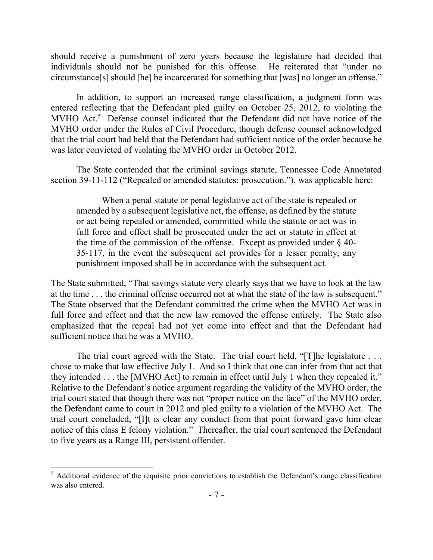should receive a punishment of zero years because the legislature had decided that individuals should not be punished for this offense. He reiterated that "under no circumstance[s] should [he] be incarcerated for something that [was] no longer an offense."

In addition, to support an increased range classification, a judgment form was entered reflecting that the Defendant pled guilty on October 25, 2012, to violating the MVHO Act. 5 Defense counsel indicated that the Defendant did not have notice of the MVHO order under the Rules of Civil Procedure, though defense counsel acknowledged that the trial court had held that the Defendant had sufficient notice of the order because he was later convicted of violating the MVHO order in October 2012.

The State contended that the criminal savings statute, Tennessee Code Annotated section 39-11-112 ("Repealed or amended statutes; prosecution."), was applicable here:

When a penal statute or penal legislative act of the state is repealed or amended by a subsequent legislative act, the offense, as defined by the statute or act being repealed or amended, committed while the statute or act was in full force and effect shall be prosecuted under the act or statute in effect at the time of the commission of the offense. Except as provided under  $\S$  40-35-117, in the event the subsequent act provides for a lesser penalty, any punishment imposed shall be in accordance with the subsequent act.

The State submitted, "That savings statute very clearly says that we have to look at the law at the time . . . the criminal offense occurred not at what the state of the law is subsequent." The State observed that the Defendant committed the crime when the MVHO Act was in full force and effect and that the new law removed the offense entirely. The State also emphasized that the repeal had not yet come into effect and that the Defendant had sufficient notice that he was a MVHO.

The trial court agreed with the State. The trial court held, "[T]he legislature ... chose to make that law effective July 1. And so I think that one can infer from that act that they intended . . . the [MVHO Act] to remain in effect until July 1 when they repealed it." Relative to the Defendant's notice argument regarding the validity of the MVHO order, the trial court stated that though there was not "proper notice on the face" of the MVHO order, the Defendant came to court in 2012 and pled guilty to a violation of the MVHO Act. The trial court concluded, "[I]t is clear any conduct from that point forward gave him clear notice of this class E felony violation." Thereafter, the trial court sentenced the Defendant to five years as a Range III, persistent offender.

<sup>&</sup>lt;sup>5</sup> Additional evidence of the requisite prior convictions to establish the Defendant's range classification was also entered.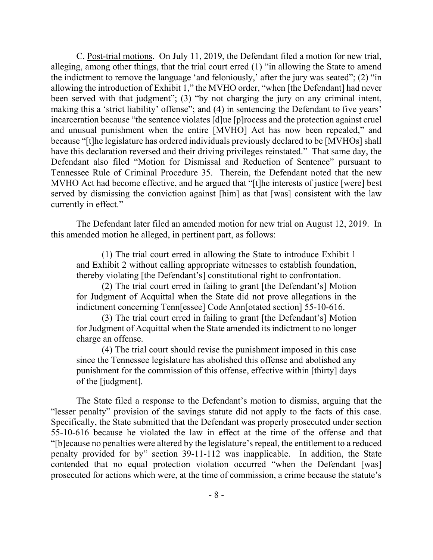C. Post-trial motions. On July 11, 2019, the Defendant filed a motion for new trial, alleging, among other things, that the trial court erred (1) "in allowing the State to amend the indictment to remove the language 'and feloniously,' after the jury was seated"; (2) "in allowing the introduction of Exhibit 1," the MVHO order, "when [the Defendant] had never been served with that judgment"; (3) "by not charging the jury on any criminal intent, making this a 'strict liability' offense"; and (4) in sentencing the Defendant to five years' incarceration because "the sentence violates [d]ue [p]rocess and the protection against cruel and unusual punishment when the entire [MVHO] Act has now been repealed," and because "[t]he legislature has ordered individuals previously declared to be [MVHOs] shall have this declaration reversed and their driving privileges reinstated." That same day, the Defendant also filed "Motion for Dismissal and Reduction of Sentence" pursuant to Tennessee Rule of Criminal Procedure 35. Therein, the Defendant noted that the new MVHO Act had become effective, and he argued that "[t]he interests of justice [were] best served by dismissing the conviction against [him] as that [was] consistent with the law currently in effect."

The Defendant later filed an amended motion for new trial on August 12, 2019. In this amended motion he alleged, in pertinent part, as follows:

(1) The trial court erred in allowing the State to introduce Exhibit 1 and Exhibit 2 without calling appropriate witnesses to establish foundation, thereby violating [the Defendant's] constitutional right to confrontation.

(2) The trial court erred in failing to grant [the Defendant's] Motion for Judgment of Acquittal when the State did not prove allegations in the indictment concerning Tenn[essee] Code Ann[otated section] 55-10-616.

(3) The trial court erred in failing to grant [the Defendant's] Motion for Judgment of Acquittal when the State amended its indictment to no longer charge an offense.

(4) The trial court should revise the punishment imposed in this case since the Tennessee legislature has abolished this offense and abolished any punishment for the commission of this offense, effective within [thirty] days of the [judgment].

The State filed a response to the Defendant's motion to dismiss, arguing that the "lesser penalty" provision of the savings statute did not apply to the facts of this case. Specifically, the State submitted that the Defendant was properly prosecuted under section 55-10-616 because he violated the law in effect at the time of the offense and that "[b]ecause no penalties were altered by the legislature's repeal, the entitlement to a reduced penalty provided for by" section 39-11-112 was inapplicable. In addition, the State contended that no equal protection violation occurred "when the Defendant [was] prosecuted for actions which were, at the time of commission, a crime because the statute's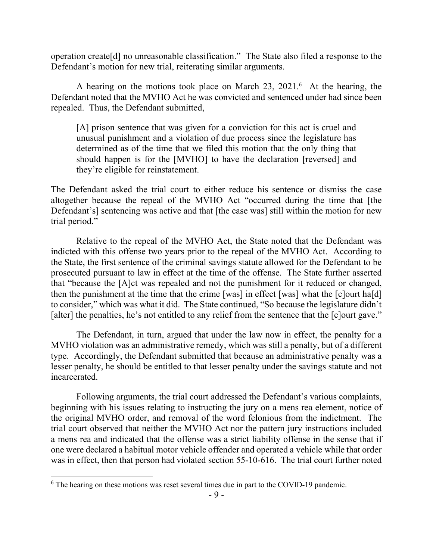operation create[d] no unreasonable classification." The State also filed a response to the Defendant's motion for new trial, reiterating similar arguments.

A hearing on the motions took place on March 23, 2021.<sup>6</sup> At the hearing, the Defendant noted that the MVHO Act he was convicted and sentenced under had since been repealed. Thus, the Defendant submitted,

[A] prison sentence that was given for a conviction for this act is cruel and unusual punishment and a violation of due process since the legislature has determined as of the time that we filed this motion that the only thing that should happen is for the [MVHO] to have the declaration [reversed] and they're eligible for reinstatement.

The Defendant asked the trial court to either reduce his sentence or dismiss the case altogether because the repeal of the MVHO Act "occurred during the time that [the Defendant's] sentencing was active and that [the case was] still within the motion for new trial period."

Relative to the repeal of the MVHO Act, the State noted that the Defendant was indicted with this offense two years prior to the repeal of the MVHO Act. According to the State, the first sentence of the criminal savings statute allowed for the Defendant to be prosecuted pursuant to law in effect at the time of the offense. The State further asserted that "because the [A]ct was repealed and not the punishment for it reduced or changed, then the punishment at the time that the crime [was] in effect [was] what the [c]ourt ha[d] to consider," which was what it did. The State continued, "So because the legislature didn't [alter] the penalties, he's not entitled to any relief from the sentence that the [c]ourt gave."

The Defendant, in turn, argued that under the law now in effect, the penalty for a MVHO violation was an administrative remedy, which was still a penalty, but of a different type. Accordingly, the Defendant submitted that because an administrative penalty was a lesser penalty, he should be entitled to that lesser penalty under the savings statute and not incarcerated.

Following arguments, the trial court addressed the Defendant's various complaints, beginning with his issues relating to instructing the jury on a mens rea element, notice of the original MVHO order, and removal of the word felonious from the indictment. The trial court observed that neither the MVHO Act nor the pattern jury instructions included a mens rea and indicated that the offense was a strict liability offense in the sense that if one were declared a habitual motor vehicle offender and operated a vehicle while that order was in effect, then that person had violated section 55-10-616. The trial court further noted

 $6$  The hearing on these motions was reset several times due in part to the COVID-19 pandemic.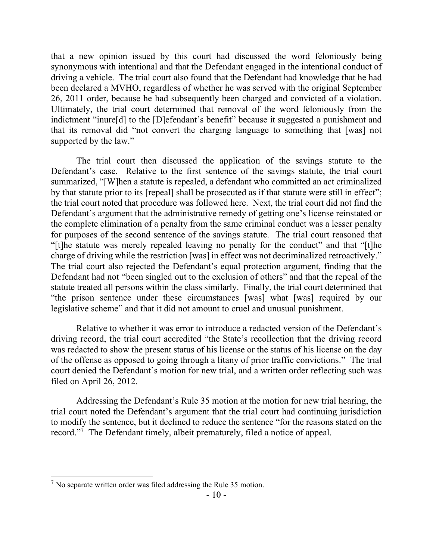that a new opinion issued by this court had discussed the word feloniously being synonymous with intentional and that the Defendant engaged in the intentional conduct of driving a vehicle. The trial court also found that the Defendant had knowledge that he had been declared a MVHO, regardless of whether he was served with the original September 26, 2011 order, because he had subsequently been charged and convicted of a violation. Ultimately, the trial court determined that removal of the word feloniously from the indictment "inure[d] to the [D]efendant's benefit" because it suggested a punishment and that its removal did "not convert the charging language to something that [was] not supported by the law."

The trial court then discussed the application of the savings statute to the Defendant's case. Relative to the first sentence of the savings statute, the trial court summarized, "[W]hen a statute is repealed, a defendant who committed an act criminalized by that statute prior to its [repeal] shall be prosecuted as if that statute were still in effect"; the trial court noted that procedure was followed here. Next, the trial court did not find the Defendant's argument that the administrative remedy of getting one's license reinstated or the complete elimination of a penalty from the same criminal conduct was a lesser penalty for purposes of the second sentence of the savings statute. The trial court reasoned that "[t]he statute was merely repealed leaving no penalty for the conduct" and that "[t]he charge of driving while the restriction [was] in effect was not decriminalized retroactively." The trial court also rejected the Defendant's equal protection argument, finding that the Defendant had not "been singled out to the exclusion of others" and that the repeal of the statute treated all persons within the class similarly. Finally, the trial court determined that "the prison sentence under these circumstances [was] what [was] required by our legislative scheme" and that it did not amount to cruel and unusual punishment.

Relative to whether it was error to introduce a redacted version of the Defendant's driving record, the trial court accredited "the State's recollection that the driving record was redacted to show the present status of his license or the status of his license on the day of the offense as opposed to going through a litany of prior traffic convictions." The trial court denied the Defendant's motion for new trial, and a written order reflecting such was filed on April 26, 2012.

Addressing the Defendant's Rule 35 motion at the motion for new trial hearing, the trial court noted the Defendant's argument that the trial court had continuing jurisdiction to modify the sentence, but it declined to reduce the sentence "for the reasons stated on the record."<sup>7</sup> The Defendant timely, albeit prematurely, filed a notice of appeal.

 $7$  No separate written order was filed addressing the Rule 35 motion.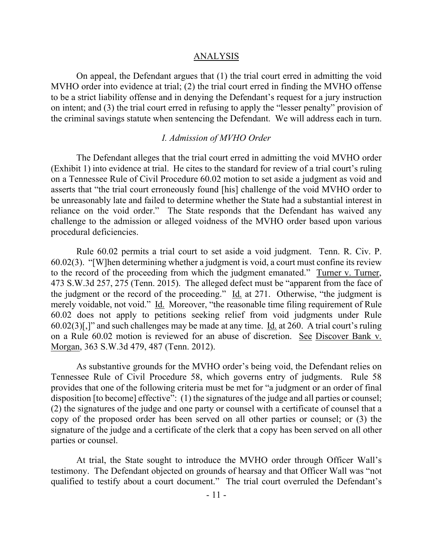### ANALYSIS

On appeal, the Defendant argues that (1) the trial court erred in admitting the void MVHO order into evidence at trial; (2) the trial court erred in finding the MVHO offense to be a strict liability offense and in denying the Defendant's request for a jury instruction on intent; and (3) the trial court erred in refusing to apply the "lesser penalty" provision of the criminal savings statute when sentencing the Defendant. We will address each in turn.

#### *I. Admission of MVHO Order*

The Defendant alleges that the trial court erred in admitting the void MVHO order (Exhibit 1) into evidence at trial. He cites to the standard for review of a trial court's ruling on a Tennessee Rule of Civil Procedure 60.02 motion to set aside a judgment as void and asserts that "the trial court erroneously found [his] challenge of the void MVHO order to be unreasonably late and failed to determine whether the State had a substantial interest in reliance on the void order." The State responds that the Defendant has waived any challenge to the admission or alleged voidness of the MVHO order based upon various procedural deficiencies.

Rule 60.02 permits a trial court to set aside a void judgment. Tenn. R. Civ. P. 60.02(3). "[W]hen determining whether a judgment is void, a court must confine its review to the record of the proceeding from which the judgment emanated." Turner v. Turner, 473 S.W.3d 257, 275 (Tenn. 2015). The alleged defect must be "apparent from the face of the judgment or the record of the proceeding."  $\underline{Id}$  at 271. Otherwise, "the judgment is merely voidable, not void." Id. Moreover, "the reasonable time filing requirement of Rule 60.02 does not apply to petitions seeking relief from void judgments under Rule  $60.02(3)$ [,]" and such challenges may be made at any time. Id. at 260. A trial court's ruling on a Rule 60.02 motion is reviewed for an abuse of discretion. See Discover Bank v. Morgan, 363 S.W.3d 479, 487 (Tenn. 2012).

As substantive grounds for the MVHO order's being void, the Defendant relies on Tennessee Rule of Civil Procedure 58, which governs entry of judgments. Rule 58 provides that one of the following criteria must be met for "a judgment or an order of final disposition [to become] effective": (1) the signatures of the judge and all parties or counsel; (2) the signatures of the judge and one party or counsel with a certificate of counsel that a copy of the proposed order has been served on all other parties or counsel; or (3) the signature of the judge and a certificate of the clerk that a copy has been served on all other parties or counsel.

At trial, the State sought to introduce the MVHO order through Officer Wall's testimony. The Defendant objected on grounds of hearsay and that Officer Wall was "not qualified to testify about a court document." The trial court overruled the Defendant's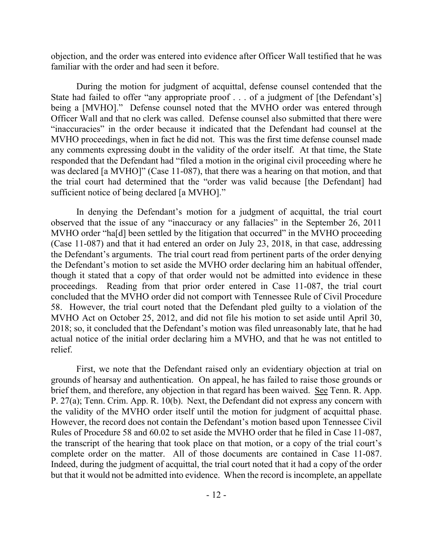objection, and the order was entered into evidence after Officer Wall testified that he was familiar with the order and had seen it before.

During the motion for judgment of acquittal, defense counsel contended that the State had failed to offer "any appropriate proof . . . of a judgment of [the Defendant's] being a [MVHO]." Defense counsel noted that the MVHO order was entered through Officer Wall and that no clerk was called. Defense counsel also submitted that there were "inaccuracies" in the order because it indicated that the Defendant had counsel at the MVHO proceedings, when in fact he did not. This was the first time defense counsel made any comments expressing doubt in the validity of the order itself. At that time, the State responded that the Defendant had "filed a motion in the original civil proceeding where he was declared [a MVHO]" (Case 11-087), that there was a hearing on that motion, and that the trial court had determined that the "order was valid because [the Defendant] had sufficient notice of being declared [a MVHO]."

In denying the Defendant's motion for a judgment of acquittal, the trial court observed that the issue of any "inaccuracy or any fallacies" in the September 26, 2011 MVHO order "ha<sup>[d]</sup> been settled by the litigation that occurred" in the MVHO proceeding (Case 11-087) and that it had entered an order on July 23, 2018, in that case, addressing the Defendant's arguments. The trial court read from pertinent parts of the order denying the Defendant's motion to set aside the MVHO order declaring him an habitual offender, though it stated that a copy of that order would not be admitted into evidence in these proceedings. Reading from that prior order entered in Case 11-087, the trial court concluded that the MVHO order did not comport with Tennessee Rule of Civil Procedure 58. However, the trial court noted that the Defendant pled guilty to a violation of the MVHO Act on October 25, 2012, and did not file his motion to set aside until April 30, 2018; so, it concluded that the Defendant's motion was filed unreasonably late, that he had actual notice of the initial order declaring him a MVHO, and that he was not entitled to relief.

First, we note that the Defendant raised only an evidentiary objection at trial on grounds of hearsay and authentication. On appeal, he has failed to raise those grounds or brief them, and therefore, any objection in that regard has been waived. See Tenn. R. App. P. 27(a); Tenn. Crim. App. R. 10(b). Next, the Defendant did not express any concern with the validity of the MVHO order itself until the motion for judgment of acquittal phase. However, the record does not contain the Defendant's motion based upon Tennessee Civil Rules of Procedure 58 and 60.02 to set aside the MVHO order that he filed in Case 11-087, the transcript of the hearing that took place on that motion, or a copy of the trial court's complete order on the matter. All of those documents are contained in Case 11-087. Indeed, during the judgment of acquittal, the trial court noted that it had a copy of the order but that it would not be admitted into evidence. When the record is incomplete, an appellate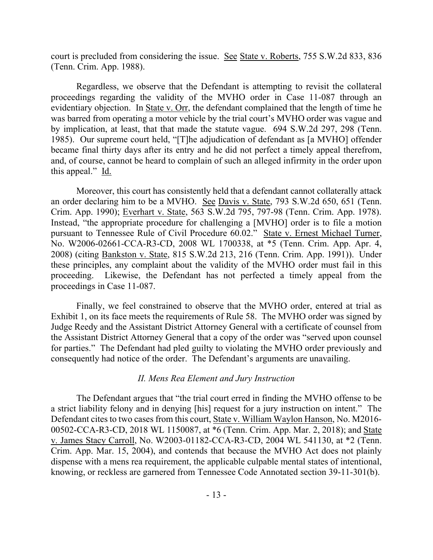court is precluded from considering the issue. See State v. Roberts, 755 S.W.2d 833, 836 (Tenn. Crim. App. 1988).

Regardless, we observe that the Defendant is attempting to revisit the collateral proceedings regarding the validity of the MVHO order in Case 11-087 through an evidentiary objection. In State v. Orr, the defendant complained that the length of time he was barred from operating a motor vehicle by the trial court's MVHO order was vague and by implication, at least, that that made the statute vague. 694 S.W.2d 297, 298 (Tenn. 1985). Our supreme court held, "[T]he adjudication of defendant as [a MVHO] offender became final thirty days after its entry and he did not perfect a timely appeal therefrom, and, of course, cannot be heard to complain of such an alleged infirmity in the order upon this appeal." Id.

Moreover, this court has consistently held that a defendant cannot collaterally attack an order declaring him to be a MVHO. See Davis v. State, 793 S.W.2d 650, 651 (Tenn. Crim. App. 1990); Everhart v. State, 563 S.W.2d 795, 797-98 (Tenn. Crim. App. 1978). Instead, "the appropriate procedure for challenging a [MVHO] order is to file a motion pursuant to Tennessee Rule of Civil Procedure 60.02." State v. Ernest Michael Turner, No. W2006-02661-CCA-R3-CD, 2008 WL 1700338, at \*5 (Tenn. Crim. App. Apr. 4, 2008) (citing Bankston v. State, 815 S.W.2d 213, 216 (Tenn. Crim. App. 1991)). Under these principles, any complaint about the validity of the MVHO order must fail in this proceeding. Likewise, the Defendant has not perfected a timely appeal from the proceedings in Case 11-087.

Finally, we feel constrained to observe that the MVHO order, entered at trial as Exhibit 1, on its face meets the requirements of Rule 58. The MVHO order was signed by Judge Reedy and the Assistant District Attorney General with a certificate of counsel from the Assistant District Attorney General that a copy of the order was "served upon counsel for parties." The Defendant had pled guilty to violating the MVHO order previously and consequently had notice of the order. The Defendant's arguments are unavailing.

### *II. Mens Rea Element and Jury Instruction*

The Defendant argues that "the trial court erred in finding the MVHO offense to be a strict liability felony and in denying [his] request for a jury instruction on intent." The Defendant cites to two cases from this court, State v. William Waylon Hanson, No. M2016- 00502-CCA-R3-CD, 2018 WL 1150087, at \*6 (Tenn. Crim. App. Mar. 2, 2018); and State v. James Stacy Carroll, No. W2003-01182-CCA-R3-CD, 2004 WL 541130, at \*2 (Tenn. Crim. App. Mar. 15, 2004), and contends that because the MVHO Act does not plainly dispense with a mens rea requirement, the applicable culpable mental states of intentional, knowing, or reckless are garnered from Tennessee Code Annotated section 39-11-301(b).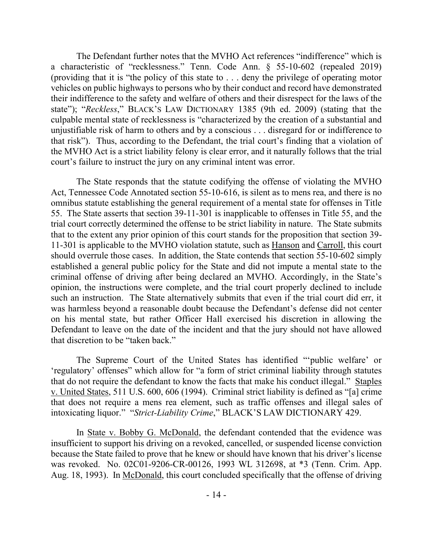The Defendant further notes that the MVHO Act references "indifference" which is a characteristic of "recklessness." Tenn. Code Ann. § 55-10-602 (repealed 2019) (providing that it is "the policy of this state to . . . deny the privilege of operating motor vehicles on public highways to persons who by their conduct and record have demonstrated their indifference to the safety and welfare of others and their disrespect for the laws of the state"); "*Reckless*," BLACK'S LAW DICTIONARY 1385 (9th ed. 2009) (stating that the culpable mental state of recklessness is "characterized by the creation of a substantial and unjustifiable risk of harm to others and by a conscious . . . disregard for or indifference to that risk"). Thus, according to the Defendant, the trial court's finding that a violation of the MVHO Act is a strict liability felony is clear error, and it naturally follows that the trial court's failure to instruct the jury on any criminal intent was error.

The State responds that the statute codifying the offense of violating the MVHO Act, Tennessee Code Annotated section 55-10-616, is silent as to mens rea, and there is no omnibus statute establishing the general requirement of a mental state for offenses in Title 55. The State asserts that section 39-11-301 is inapplicable to offenses in Title 55, and the trial court correctly determined the offense to be strict liability in nature. The State submits that to the extent any prior opinion of this court stands for the proposition that section 39- 11-301 is applicable to the MVHO violation statute, such as Hanson and Carroll, this court should overrule those cases. In addition, the State contends that section 55-10-602 simply established a general public policy for the State and did not impute a mental state to the criminal offense of driving after being declared an MVHO. Accordingly, in the State's opinion, the instructions were complete, and the trial court properly declined to include such an instruction. The State alternatively submits that even if the trial court did err, it was harmless beyond a reasonable doubt because the Defendant's defense did not center on his mental state, but rather Officer Hall exercised his discretion in allowing the Defendant to leave on the date of the incident and that the jury should not have allowed that discretion to be "taken back."

The Supreme Court of the United States has identified "'public welfare' or 'regulatory' offenses" which allow for "a form of strict criminal liability through statutes that do not require the defendant to know the facts that make his conduct illegal." Staples v. United States, 511 U.S. 600, 606 (1994). Criminal strict liability is defined as "[a] crime that does not require a mens rea element, such as traffic offenses and illegal sales of intoxicating liquor." "*Strict-Liability Crime*," BLACK'S LAW DICTIONARY 429.

In State v. Bobby G. McDonald, the defendant contended that the evidence was insufficient to support his driving on a revoked, cancelled, or suspended license conviction because the State failed to prove that he knew or should have known that his driver's license was revoked. No. 02C01-9206-CR-00126, 1993 WL 312698, at \*3 (Tenn. Crim. App. Aug. 18, 1993). In McDonald, this court concluded specifically that the offense of driving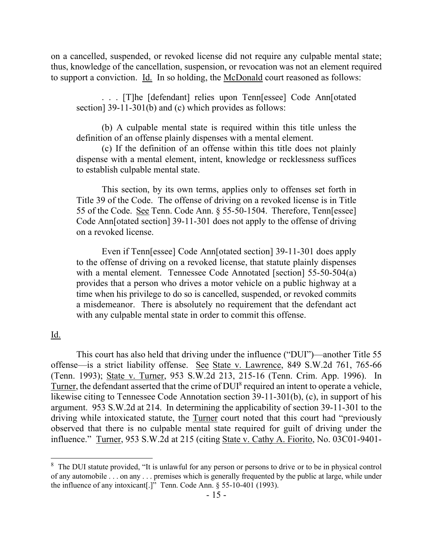on a cancelled, suspended, or revoked license did not require any culpable mental state; thus, knowledge of the cancellation, suspension, or revocation was not an element required to support a conviction. Id. In so holding, the McDonald court reasoned as follows:

. . . [T]he [defendant] relies upon Tenn[essee] Code Ann[otated section] 39-11-301(b) and (c) which provides as follows:

(b) A culpable mental state is required within this title unless the definition of an offense plainly dispenses with a mental element.

(c) If the definition of an offense within this title does not plainly dispense with a mental element, intent, knowledge or recklessness suffices to establish culpable mental state.

This section, by its own terms, applies only to offenses set forth in Title 39 of the Code. The offense of driving on a revoked license is in Title 55 of the Code. See Tenn. Code Ann. § 55-50-1504. Therefore, Tenn[essee] Code Ann[otated section] 39-11-301 does not apply to the offense of driving on a revoked license.

Even if Tenn[essee] Code Ann[otated section] 39-11-301 does apply to the offense of driving on a revoked license, that statute plainly dispenses with a mental element. Tennessee Code Annotated [section] 55-50-504(a) provides that a person who drives a motor vehicle on a public highway at a time when his privilege to do so is cancelled, suspended, or revoked commits a misdemeanor. There is absolutely no requirement that the defendant act with any culpable mental state in order to commit this offense.

Id.

l

This court has also held that driving under the influence ("DUI")—another Title 55 offense—is a strict liability offense. See State v. Lawrence, 849 S.W.2d 761, 765-66 (Tenn. 1993); State v. Turner, 953 S.W.2d 213, 215-16 (Tenn. Crim. App. 1996). In Turner, the defendant asserted that the crime of DUI<sup>8</sup> required an intent to operate a vehicle, likewise citing to Tennessee Code Annotation section 39-11-301(b), (c), in support of his argument. 953 S.W.2d at 214. In determining the applicability of section 39-11-301 to the driving while intoxicated statute, the Turner court noted that this court had "previously observed that there is no culpable mental state required for guilt of driving under the influence." Turner, 953 S.W.2d at 215 (citing State v. Cathy A. Fiorito, No. 03C01-9401-

<sup>&</sup>lt;sup>8</sup> The DUI statute provided, "It is unlawful for any person or persons to drive or to be in physical control of any automobile . . . on any . . . premises which is generally frequented by the public at large, while under the influence of any intoxicant[.]" Tenn. Code Ann. § 55-10-401 (1993).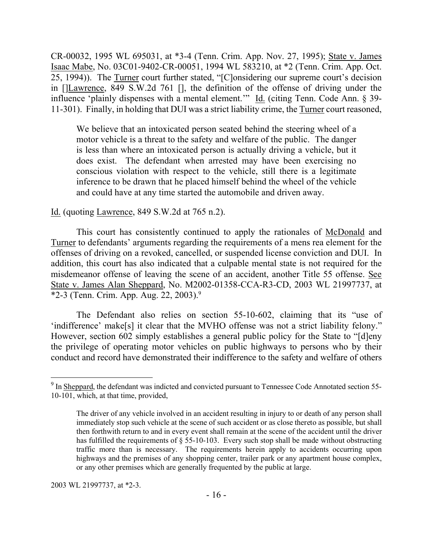CR-00032, 1995 WL 695031, at \*3-4 (Tenn. Crim. App. Nov. 27, 1995); State v. James Isaac Mabe, No. 03C01-9402-CR-00051, 1994 WL 583210, at \*2 (Tenn. Crim. App. Oct. 25, 1994)). The Turner court further stated, "[C]onsidering our supreme court's decision in []Lawrence, 849 S.W.2d 761 [], the definition of the offense of driving under the influence 'plainly dispenses with a mental element.'" Id. (citing Tenn. Code Ann. § 39- 11-301). Finally, in holding that DUI was a strict liability crime, the Turner court reasoned,

We believe that an intoxicated person seated behind the steering wheel of a motor vehicle is a threat to the safety and welfare of the public. The danger is less than where an intoxicated person is actually driving a vehicle, but it does exist. The defendant when arrested may have been exercising no conscious violation with respect to the vehicle, still there is a legitimate inference to be drawn that he placed himself behind the wheel of the vehicle and could have at any time started the automobile and driven away.

## Id. (quoting Lawrence, 849 S.W.2d at 765 n.2).

This court has consistently continued to apply the rationales of McDonald and Turner to defendants' arguments regarding the requirements of a mens rea element for the offenses of driving on a revoked, cancelled, or suspended license conviction and DUI. In addition, this court has also indicated that a culpable mental state is not required for the misdemeanor offense of leaving the scene of an accident, another Title 55 offense. See State v. James Alan Sheppard, No. M2002-01358-CCA-R3-CD, 2003 WL 21997737, at \*2-3 (Tenn. Crim. App. Aug. 22, 2003). 9

The Defendant also relies on section 55-10-602, claiming that its "use of 'indifference' make[s] it clear that the MVHO offense was not a strict liability felony." However, section 602 simply establishes a general public policy for the State to "[d]eny the privilege of operating motor vehicles on public highways to persons who by their conduct and record have demonstrated their indifference to the safety and welfare of others

2003 WL 21997737, at \*2-3.

 $\overline{a}$ 

 $9$  In Sheppard, the defendant was indicted and convicted pursuant to Tennessee Code Annotated section 55-10-101, which, at that time, provided,

The driver of any vehicle involved in an accident resulting in injury to or death of any person shall immediately stop such vehicle at the scene of such accident or as close thereto as possible, but shall then forthwith return to and in every event shall remain at the scene of the accident until the driver has fulfilled the requirements of  $\S$  55-10-103. Every such stop shall be made without obstructing traffic more than is necessary. The requirements herein apply to accidents occurring upon highways and the premises of any shopping center, trailer park or any apartment house complex, or any other premises which are generally frequented by the public at large.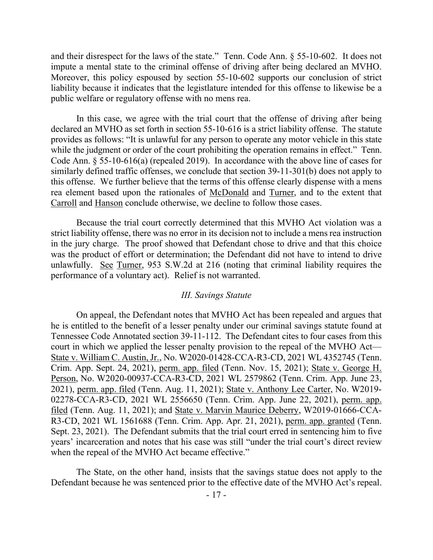and their disrespect for the laws of the state." Tenn. Code Ann. § 55-10-602. It does not impute a mental state to the criminal offense of driving after being declared an MVHO. Moreover, this policy espoused by section 55-10-602 supports our conclusion of strict liability because it indicates that the legistlature intended for this offense to likewise be a public welfare or regulatory offense with no mens rea.

In this case, we agree with the trial court that the offense of driving after being declared an MVHO as set forth in section 55-10-616 is a strict liability offense. The statute provides as follows: "It is unlawful for any person to operate any motor vehicle in this state while the judgment or order of the court prohibiting the operation remains in effect." Tenn. Code Ann. § 55-10-616(a) (repealed 2019). In accordance with the above line of cases for similarly defined traffic offenses, we conclude that section 39-11-301(b) does not apply to this offense. We further believe that the terms of this offense clearly dispense with a mens rea element based upon the rationales of McDonald and Turner, and to the extent that Carroll and Hanson conclude otherwise, we decline to follow those cases.

Because the trial court correctly determined that this MVHO Act violation was a strict liability offense, there was no error in its decision not to include a mens rea instruction in the jury charge. The proof showed that Defendant chose to drive and that this choice was the product of effort or determination; the Defendant did not have to intend to drive unlawfully. See Turner, 953 S.W.2d at 216 (noting that criminal liability requires the performance of a voluntary act). Relief is not warranted.

### *III. Savings Statute*

On appeal, the Defendant notes that MVHO Act has been repealed and argues that he is entitled to the benefit of a lesser penalty under our criminal savings statute found at Tennessee Code Annotated section 39-11-112. The Defendant cites to four cases from this court in which we applied the lesser penalty provision to the repeal of the MVHO Act— State v. William C. Austin, Jr., No. W2020-01428-CCA-R3-CD, 2021 WL 4352745 (Tenn. Crim. App. Sept. 24, 2021), perm. app. filed (Tenn. Nov. 15, 2021); State v. George H. Person, No. W2020-00937-CCA-R3-CD, 2021 WL 2579862 (Tenn. Crim. App. June 23, 2021), perm. app. filed (Tenn. Aug. 11, 2021); State v. Anthony Lee Carter, No. W2019- 02278-CCA-R3-CD, 2021 WL 2556650 (Tenn. Crim. App. June 22, 2021), perm. app. filed (Tenn. Aug. 11, 2021); and State v. Marvin Maurice Deberry, W2019-01666-CCA-R3-CD, 2021 WL 1561688 (Tenn. Crim. App. Apr. 21, 2021), perm. app. granted (Tenn. Sept. 23, 2021). The Defendant submits that the trial court erred in sentencing him to five years' incarceration and notes that his case was still "under the trial court's direct review when the repeal of the MVHO Act became effective."

The State, on the other hand, insists that the savings statue does not apply to the Defendant because he was sentenced prior to the effective date of the MVHO Act's repeal.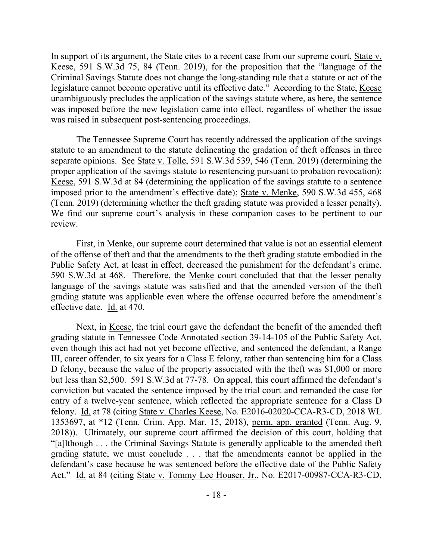In support of its argument, the State cites to a recent case from our supreme court, State v. Keese, 591 S.W.3d 75, 84 (Tenn. 2019), for the proposition that the "language of the Criminal Savings Statute does not change the long-standing rule that a statute or act of the legislature cannot become operative until its effective date." According to the State, Keese unambiguously precludes the application of the savings statute where, as here, the sentence was imposed before the new legislation came into effect, regardless of whether the issue was raised in subsequent post-sentencing proceedings.

The Tennessee Supreme Court has recently addressed the application of the savings statute to an amendment to the statute delineating the gradation of theft offenses in three separate opinions. See State v. Tolle, 591 S.W.3d 539, 546 (Tenn. 2019) (determining the proper application of the savings statute to resentencing pursuant to probation revocation); Keese, 591 S.W.3d at 84 (determining the application of the savings statute to a sentence imposed prior to the amendment's effective date); State v. Menke, 590 S.W.3d 455, 468 (Tenn. 2019) (determining whether the theft grading statute was provided a lesser penalty). We find our supreme court's analysis in these companion cases to be pertinent to our review.

First, in Menke, our supreme court determined that value is not an essential element of the offense of theft and that the amendments to the theft grading statute embodied in the Public Safety Act, at least in effect, decreased the punishment for the defendant's crime. 590 S.W.3d at 468. Therefore, the Menke court concluded that that the lesser penalty language of the savings statute was satisfied and that the amended version of the theft grading statute was applicable even where the offense occurred before the amendment's effective date. Id. at 470.

Next, in Keese, the trial court gave the defendant the benefit of the amended theft grading statute in Tennessee Code Annotated section 39-14-105 of the Public Safety Act, even though this act had not yet become effective, and sentenced the defendant, a Range III, career offender, to six years for a Class E felony, rather than sentencing him for a Class D felony, because the value of the property associated with the theft was \$1,000 or more but less than \$2,500. 591 S.W.3d at 77-78. On appeal, this court affirmed the defendant's conviction but vacated the sentence imposed by the trial court and remanded the case for entry of a twelve-year sentence, which reflected the appropriate sentence for a Class D felony. Id. at 78 (citing State v. Charles Keese, No. E2016-02020-CCA-R3-CD, 2018 WL 1353697, at \*12 (Tenn. Crim. App. Mar. 15, 2018), perm. app. granted (Tenn. Aug. 9, 2018)). Ultimately, our supreme court affirmed the decision of this court, holding that "[a]lthough . . . the Criminal Savings Statute is generally applicable to the amended theft grading statute, we must conclude . . . that the amendments cannot be applied in the defendant's case because he was sentenced before the effective date of the Public Safety Act." Id. at 84 (citing State v. Tommy Lee Houser, Jr., No. E2017-00987-CCA-R3-CD,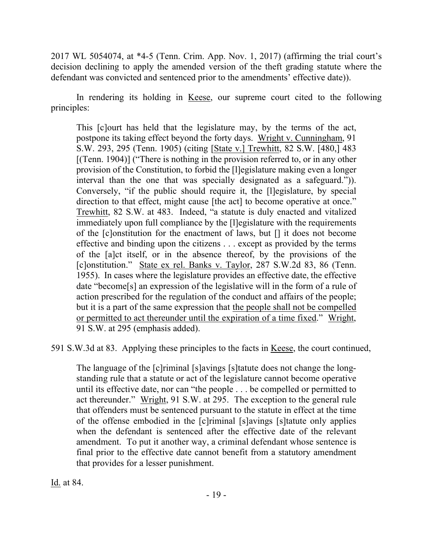2017 WL 5054074, at \*4-5 (Tenn. Crim. App. Nov. 1, 2017) (affirming the trial court's decision declining to apply the amended version of the theft grading statute where the defendant was convicted and sentenced prior to the amendments' effective date)).

In rendering its holding in Keese, our supreme court cited to the following principles:

This [c]ourt has held that the legislature may, by the terms of the act, postpone its taking effect beyond the forty days. Wright v. Cunningham, 91 S.W. 293, 295 (Tenn. 1905) (citing [State v.] Trewhitt, 82 S.W. [480,] 483 [(Tenn. 1904)] ("There is nothing in the provision referred to, or in any other provision of the Constitution, to forbid the [l]egislature making even a longer interval than the one that was specially designated as a safeguard.")). Conversely, "if the public should require it, the [l]egislature, by special direction to that effect, might cause [the act] to become operative at once." Trewhitt, 82 S.W. at 483. Indeed, "a statute is duly enacted and vitalized immediately upon full compliance by the [l]egislature with the requirements of the [c]onstitution for the enactment of laws, but [] it does not become effective and binding upon the citizens . . . except as provided by the terms of the [a]ct itself, or in the absence thereof, by the provisions of the [c]onstitution." State ex rel. Banks v. Taylor, 287 S.W.2d 83, 86 (Tenn. 1955). In cases where the legislature provides an effective date, the effective date "become[s] an expression of the legislative will in the form of a rule of action prescribed for the regulation of the conduct and affairs of the people; but it is a part of the same expression that the people shall not be compelled or permitted to act thereunder until the expiration of a time fixed." Wright, 91 S.W. at 295 (emphasis added).

591 S.W.3d at 83. Applying these principles to the facts in Keese, the court continued,

The language of the [c]riminal [s]avings [s]tatute does not change the longstanding rule that a statute or act of the legislature cannot become operative until its effective date, nor can "the people . . . be compelled or permitted to act thereunder." Wright, 91 S.W. at 295. The exception to the general rule that offenders must be sentenced pursuant to the statute in effect at the time of the offense embodied in the [c]riminal [s]avings [s]tatute only applies when the defendant is sentenced after the effective date of the relevant amendment. To put it another way, a criminal defendant whose sentence is final prior to the effective date cannot benefit from a statutory amendment that provides for a lesser punishment.

Id. at 84.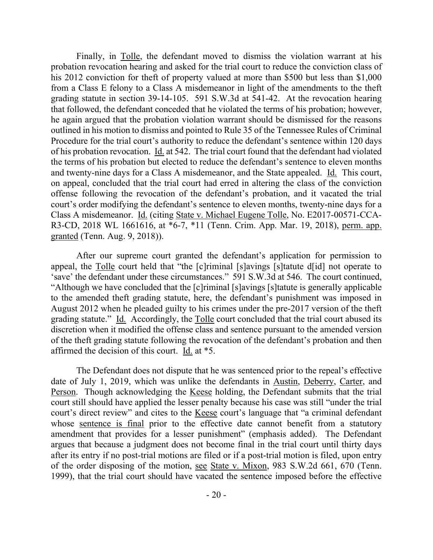Finally, in Tolle, the defendant moved to dismiss the violation warrant at his probation revocation hearing and asked for the trial court to reduce the conviction class of his 2012 conviction for theft of property valued at more than \$500 but less than \$1,000 from a Class E felony to a Class A misdemeanor in light of the amendments to the theft grading statute in section 39-14-105. 591 S.W.3d at 541-42. At the revocation hearing that followed, the defendant conceded that he violated the terms of his probation; however, he again argued that the probation violation warrant should be dismissed for the reasons outlined in his motion to dismiss and pointed to Rule 35 of the Tennessee Rules of Criminal Procedure for the trial court's authority to reduce the defendant's sentence within 120 days of his probation revocation. Id. at 542. The trial court found that the defendant had violated the terms of his probation but elected to reduce the defendant's sentence to eleven months and twenty-nine days for a Class A misdemeanor, and the State appealed. Id. This court, on appeal, concluded that the trial court had erred in altering the class of the conviction offense following the revocation of the defendant's probation, and it vacated the trial court's order modifying the defendant's sentence to eleven months, twenty-nine days for a Class A misdemeanor. Id. (citing State v. Michael Eugene Tolle, No. E2017-00571-CCA-R3-CD, 2018 WL 1661616, at \*6-7, \*11 (Tenn. Crim. App. Mar. 19, 2018), perm. app. granted (Tenn. Aug. 9, 2018)).

After our supreme court granted the defendant's application for permission to appeal, the Tolle court held that "the [c]riminal [s]avings [s]tatute d[id] not operate to 'save' the defendant under these circumstances." 591 S.W.3d at 546. The court continued, "Although we have concluded that the [c]riminal [s]avings [s]tatute is generally applicable to the amended theft grading statute, here, the defendant's punishment was imposed in August 2012 when he pleaded guilty to his crimes under the pre-2017 version of the theft grading statute." Id. Accordingly, the Tolle court concluded that the trial court abused its discretion when it modified the offense class and sentence pursuant to the amended version of the theft grading statute following the revocation of the defendant's probation and then affirmed the decision of this court. Id. at \*5.

The Defendant does not dispute that he was sentenced prior to the repeal's effective date of July 1, 2019, which was unlike the defendants in Austin, Deberry, Carter, and Person. Though acknowledging the Keese holding, the Defendant submits that the trial court still should have applied the lesser penalty because his case was still "under the trial court's direct review" and cites to the Keese court's language that "a criminal defendant whose sentence is final prior to the effective date cannot benefit from a statutory amendment that provides for a lesser punishment" (emphasis added). The Defendant argues that because a judgment does not become final in the trial court until thirty days after its entry if no post-trial motions are filed or if a post-trial motion is filed, upon entry of the order disposing of the motion, see State v. Mixon, 983 S.W.2d 661, 670 (Tenn. 1999), that the trial court should have vacated the sentence imposed before the effective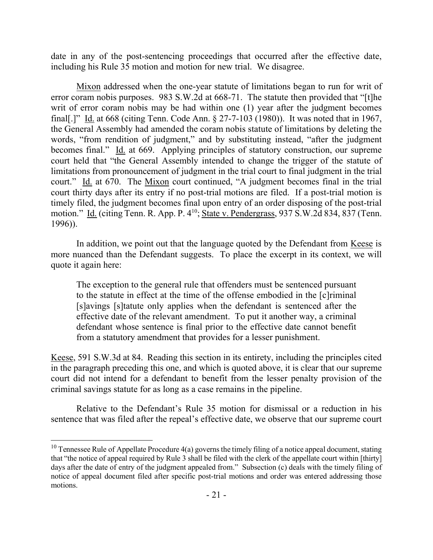date in any of the post-sentencing proceedings that occurred after the effective date, including his Rule 35 motion and motion for new trial. We disagree.

Mixon addressed when the one-year statute of limitations began to run for writ of error coram nobis purposes. 983 S.W.2d at 668-71. The statute then provided that "[t]he writ of error coram nobis may be had within one (1) year after the judgment becomes final[.]" Id. at 668 (citing Tenn. Code Ann. § 27-7-103 (1980)). It was noted that in 1967, the General Assembly had amended the coram nobis statute of limitations by deleting the words, "from rendition of judgment," and by substituting instead, "after the judgment becomes final." Id. at 669. Applying principles of statutory construction, our supreme court held that "the General Assembly intended to change the trigger of the statute of limitations from pronouncement of judgment in the trial court to final judgment in the trial court." Id. at 670. The Mixon court continued, "A judgment becomes final in the trial court thirty days after its entry if no post-trial motions are filed. If a post-trial motion is timely filed, the judgment becomes final upon entry of an order disposing of the post-trial motion." Id. (citing Tenn. R. App. P. 4<sup>10</sup>; State v. Pendergrass, 937 S.W.2d 834, 837 (Tenn. 1996)).

In addition, we point out that the language quoted by the Defendant from Keese is more nuanced than the Defendant suggests. To place the excerpt in its context, we will quote it again here:

The exception to the general rule that offenders must be sentenced pursuant to the statute in effect at the time of the offense embodied in the [c]riminal [s]avings [s]tatute only applies when the defendant is sentenced after the effective date of the relevant amendment. To put it another way, a criminal defendant whose sentence is final prior to the effective date cannot benefit from a statutory amendment that provides for a lesser punishment.

Keese, 591 S.W.3d at 84. Reading this section in its entirety, including the principles cited in the paragraph preceding this one, and which is quoted above, it is clear that our supreme court did not intend for a defendant to benefit from the lesser penalty provision of the criminal savings statute for as long as a case remains in the pipeline.

Relative to the Defendant's Rule 35 motion for dismissal or a reduction in his sentence that was filed after the repeal's effective date, we observe that our supreme court

<sup>&</sup>lt;sup>10</sup> Tennessee Rule of Appellate Procedure  $4(a)$  governs the timely filing of a notice appeal document, stating that "the notice of appeal required by Rule 3 shall be filed with the clerk of the appellate court within [thirty] days after the date of entry of the judgment appealed from." Subsection (c) deals with the timely filing of notice of appeal document filed after specific post-trial motions and order was entered addressing those motions.